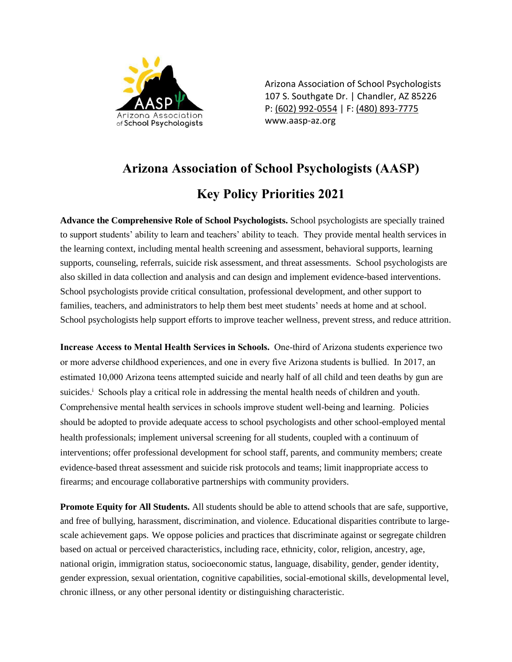

Arizona Association of School Psychologists 107 S. Southgate Dr. | Chandler, AZ 85226 P: [\(602\) 992-0554](about:blank) | F: [\(480\) 893-7775](about:blank) www.aasp-az.org

## **Arizona Association of School Psychologists (AASP) Key Policy Priorities 2021**

**Advance the Comprehensive Role of School Psychologists.** School psychologists are specially trained to support students' ability to learn and teachers' ability to teach. They provide mental health services in the learning context, including mental health screening and assessment, behavioral supports, learning supports, counseling, referrals, suicide risk assessment, and threat assessments. School psychologists are also skilled in data collection and analysis and can design and implement evidence-based interventions. School psychologists provide critical consultation, professional development, and other support to families, teachers, and administrators to help them best meet students' needs at home and at school. School psychologists help support efforts to improve teacher wellness, prevent stress, and reduce attrition.

**Increase Access to Mental Health Services in Schools.** One-third of Arizona students experience two or more adverse childhood experiences, and one in every five Arizona students is bullied. In 2017, an estimated 10,000 Arizona teens attempted suicide and nearly half of all child and teen deaths by gun are suicides.<sup>i</sup> Schools play a critical role in addressing the mental health needs of children and youth. Comprehensive mental health services in schools improve student well-being and learning. Policies should be adopted to provide adequate access to school psychologists and other school-employed mental health professionals; implement universal screening for all students, coupled with a continuum of interventions; offer professional development for school staff, parents, and community members; create evidence-based threat assessment and suicide risk protocols and teams; limit inappropriate access to firearms; and encourage collaborative partnerships with community providers.

**Promote Equity for All Students.** All students should be able to attend schools that are safe, supportive, and free of bullying, harassment, discrimination, and violence. Educational disparities contribute to largescale achievement gaps. We oppose policies and practices that discriminate against or segregate children based on actual or perceived characteristics, including race, ethnicity, color, religion, ancestry, age, national origin, immigration status, socioeconomic status, language, disability, gender, gender identity, gender expression, sexual orientation, cognitive capabilities, social-emotional skills, developmental level, chronic illness, or any other personal identity or distinguishing characteristic.